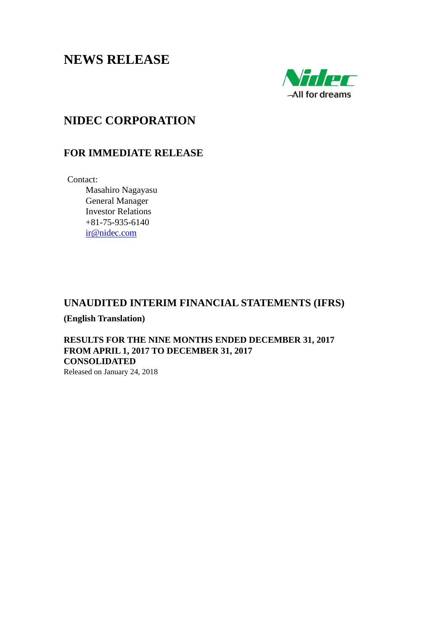# **NEWS RELEASE**



# **NIDEC CORPORATION**

# **FOR IMMEDIATE RELEASE**

Contact:

 Masahiro Nagayasu General Manager Investor Relations +81-75-935-6140 ir@nidec.com

# **UNAUDITED INTERIM FINANCIAL STATEMENTS (IFRS)**

**(English Translation)** 

**RESULTS FOR THE NINE MONTHS ENDED DECEMBER 31, 2017 FROM APRIL 1, 2017 TO DECEMBER 31, 2017 CONSOLIDATED** 

Released on January 24, 2018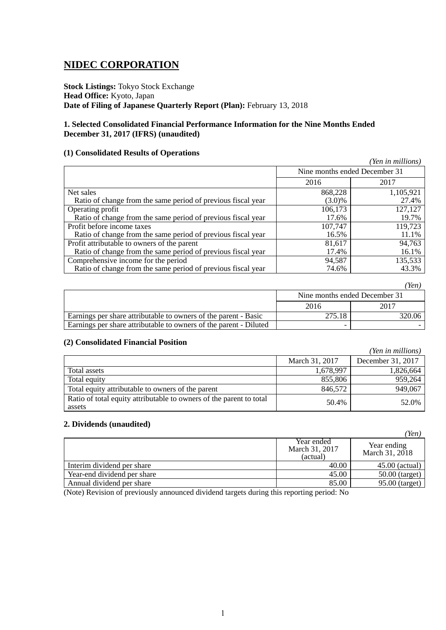# **NIDEC CORPORATION**

**Stock Listings:** Tokyo Stock Exchange **Head Office:** Kyoto, Japan **Date of Filing of Japanese Quarterly Report (Plan):** February 13, 2018

# **1. Selected Consolidated Financial Performance Information for the Nine Months Ended December 31, 2017 (IFRS) (unaudited)**

# **(1) Consolidated Results of Operations**

|                                                              |                               | (Yen in millions) |
|--------------------------------------------------------------|-------------------------------|-------------------|
|                                                              | Nine months ended December 31 |                   |
|                                                              | 2016                          | 2017              |
| Net sales                                                    | 868,228                       | 1,105,921         |
| Ratio of change from the same period of previous fiscal year | $(3.0)\%$                     | 27.4%             |
| Operating profit                                             | 106,173                       | 127,127           |
| Ratio of change from the same period of previous fiscal year | 17.6%                         | 19.7%             |
| Profit before income taxes                                   | 107,747                       | 119,723           |
| Ratio of change from the same period of previous fiscal year | 16.5%                         | 11.1%             |
| Profit attributable to owners of the parent                  | 81,617                        | 94,763            |
| Ratio of change from the same period of previous fiscal year | 17.4%                         | 16.1%             |
| Comprehensive income for the period                          | 94,587                        | 135,533           |
| Ratio of change from the same period of previous fiscal year | 74.6%                         | 43.3%             |

|                                                                   |        | Yen,                          |
|-------------------------------------------------------------------|--------|-------------------------------|
|                                                                   |        | Nine months ended December 31 |
|                                                                   | 2016   | 2017                          |
| Earnings per share attributable to owners of the parent - Basic   | 275.18 | 320.06                        |
| Earnings per share attributable to owners of the parent - Diluted |        |                               |

# **(2) Consolidated Financial Position**

| $\mathcal{L}$ . Combondated I mancial I obthout                               |                |                   |
|-------------------------------------------------------------------------------|----------------|-------------------|
|                                                                               |                | (Yen in millions) |
|                                                                               | March 31, 2017 | December 31, 2017 |
| Total assets                                                                  | 1,678,997      | 1,826,664         |
| Total equity                                                                  | 855,806        | 959,264           |
| Total equity attributable to owners of the parent                             | 846,572        | 949,067           |
| Ratio of total equity attributable to owners of the parent to total<br>assets | 50.4%          | 52.0%             |

# **2. Dividends (unaudited)**

|                             |                                          | (Yen)                         |
|-----------------------------|------------------------------------------|-------------------------------|
|                             | Year ended<br>March 31, 2017<br>(actual) | Year ending<br>March 31, 2018 |
| Interim dividend per share  | 40.00                                    | $45.00$ (actual)              |
| Year-end dividend per share | 45.00                                    | $50.00$ (target)              |
| Annual dividend per share   | 85.00                                    | 95.00 (target)                |

(Note) Revision of previously announced dividend targets during this reporting period: No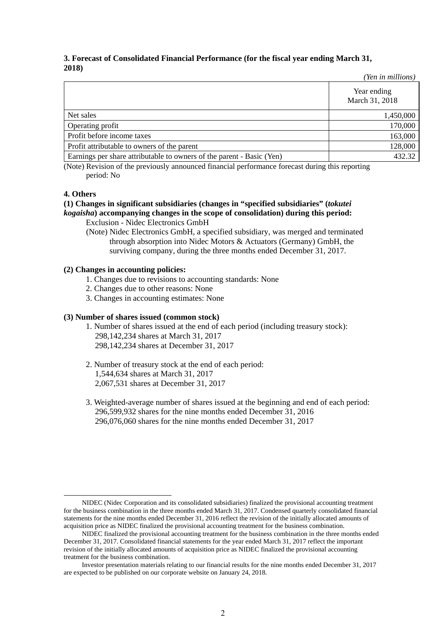# **3. Forecast of Consolidated Financial Performance (for the fiscal year ending March 31, 2018)**

|                                                                       | (Yen in millions)             |
|-----------------------------------------------------------------------|-------------------------------|
|                                                                       | Year ending<br>March 31, 2018 |
| Net sales                                                             | 1,450,000                     |
| Operating profit                                                      | 170,000                       |
| Profit before income taxes                                            | 163,000                       |
| Profit attributable to owners of the parent                           | 128,000                       |
| Earnings per share attributable to owners of the parent - Basic (Yen) | 432.32                        |

(Note) Revision of the previously announced financial performance forecast during this reporting period: No

# **4. Others**

# **(1) Changes in significant subsidiaries (changes in "specified subsidiaries" (***tokutei kogaisha***) accompanying changes in the scope of consolidation) during this period:**

Exclusion - Nidec Electronics GmbH

(Note) Nidec Electronics GmbH, a specified subsidiary, was merged and terminated through absorption into Nidec Motors & Actuators (Germany) GmbH, the surviving company, during the three months ended December 31, 2017.

# **(2) Changes in accounting policies:**

- 1. Changes due to revisions to accounting standards: None
- 2. Changes due to other reasons: None
- 3. Changes in accounting estimates: None

# **(3) Number of shares issued (common stock)**

- 1. Number of shares issued at the end of each period (including treasury stock): 298,142,234 shares at March 31, 2017 298,142,234 shares at December 31, 2017
- 2. Number of treasury stock at the end of each period: 1,544,634 shares at March 31, 2017 2,067,531 shares at December 31, 2017
- 3. Weighted-average number of shares issued at the beginning and end of each period: 296,599,932 shares for the nine months ended December 31, 2016 296,076,060 shares for the nine months ended December 31, 2017

NIDEC (Nidec Corporation and its consolidated subsidiaries) finalized the provisional accounting treatment for the business combination in the three months ended March 31, 2017. Condensed quarterly consolidated financial statements for the nine months ended December 31, 2016 reflect the revision of the initially allocated amounts of acquisition price as NIDEC finalized the provisional accounting treatment for the business combination.

NIDEC finalized the provisional accounting treatment for the business combination in the three months ended December 31, 2017. Consolidated financial statements for the year ended March 31, 2017 reflect the important revision of the initially allocated amounts of acquisition price as NIDEC finalized the provisional accounting treatment for the business combination.

Investor presentation materials relating to our financial results for the nine months ended December 31, 2017 are expected to be published on our corporate website on January 24, 2018.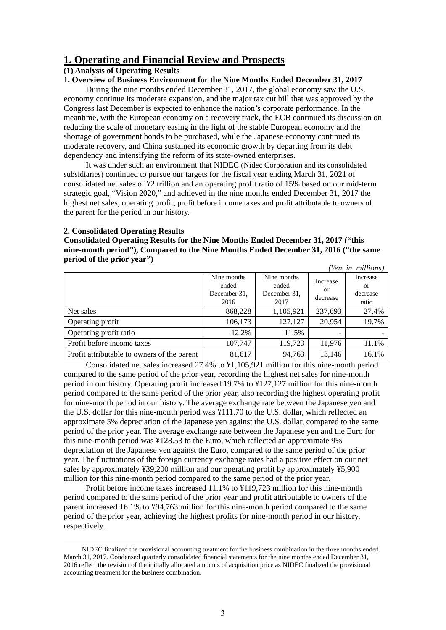# **1. Operating and Financial Review and Prospects**

# **(1) Analysis of Operating Results**

# **1. Overview of Business Environment for the Nine Months Ended December 31, 2017**

During the nine months ended December 31, 2017, the global economy saw the U.S. economy continue its moderate expansion, and the major tax cut bill that was approved by the Congress last December is expected to enhance the nation's corporate performance. In the meantime, with the European economy on a recovery track, the ECB continued its discussion on reducing the scale of monetary easing in the light of the stable European economy and the shortage of government bonds to be purchased, while the Japanese economy continued its moderate recovery, and China sustained its economic growth by departing from its debt dependency and intensifying the reform of its state-owned enterprises.

It was under such an environment that NIDEC (Nidec Corporation and its consolidated subsidiaries) continued to pursue our targets for the fiscal year ending March 31, 2021 of consolidated net sales of ¥2 trillion and an operating profit ratio of 15% based on our mid-term strategic goal, "Vision 2020," and achieved in the nine months ended December 31, 2017 the highest net sales, operating profit, profit before income taxes and profit attributable to owners of the parent for the period in our history.

### **2. Consolidated Operating Results**

**Consolidated Operating Results for the Nine Months Ended December 31, 2017 ("this nine-month period"), Compared to the Nine Months Ended December 31, 2016 ("the same period of the prior year")** *(Yen in millions)* 

|                                             |                                              |                                              |                            | ren in muuonsi                      |
|---------------------------------------------|----------------------------------------------|----------------------------------------------|----------------------------|-------------------------------------|
|                                             | Nine months<br>ended<br>December 31,<br>2016 | Nine months<br>ended<br>December 31.<br>2017 | Increase<br>or<br>decrease | Increase<br>or<br>decrease<br>ratio |
| Net sales                                   | 868,228                                      | 1,105,921                                    | 237,693                    | 27.4%                               |
| Operating profit                            | 106,173                                      | 127,127                                      | 20,954                     | 19.7%                               |
| Operating profit ratio                      | 12.2%                                        | 11.5%                                        |                            |                                     |
| Profit before income taxes                  | 107,747                                      | 119,723                                      | 11,976                     | 11.1%                               |
| Profit attributable to owners of the parent | 81,617                                       | 94,763                                       | 13,146                     | 16.1%                               |

Consolidated net sales increased 27.4% to ¥1,105,921 million for this nine-month period compared to the same period of the prior year, recording the highest net sales for nine-month period in our history. Operating profit increased 19.7% to ¥127,127 million for this nine-month period compared to the same period of the prior year, also recording the highest operating profit for nine-month period in our history. The average exchange rate between the Japanese yen and the U.S. dollar for this nine-month period was ¥111.70 to the U.S. dollar, which reflected an approximate 5% depreciation of the Japanese yen against the U.S. dollar, compared to the same period of the prior year. The average exchange rate between the Japanese yen and the Euro for this nine-month period was ¥128.53 to the Euro, which reflected an approximate 9% depreciation of the Japanese yen against the Euro, compared to the same period of the prior year. The fluctuations of the foreign currency exchange rates had a positive effect on our net sales by approximately ¥39,200 million and our operating profit by approximately ¥5,900 million for this nine-month period compared to the same period of the prior year.

Profit before income taxes increased 11.1% to ¥119,723 million for this nine-month period compared to the same period of the prior year and profit attributable to owners of the parent increased 16.1% to ¥94,763 million for this nine-month period compared to the same period of the prior year, achieving the highest profits for nine-month period in our history, respectively.

NIDEC finalized the provisional accounting treatment for the business combination in the three months ended March 31, 2017. Condensed quarterly consolidated financial statements for the nine months ended December 31, 2016 reflect the revision of the initially allocated amounts of acquisition price as NIDEC finalized the provisional accounting treatment for the business combination.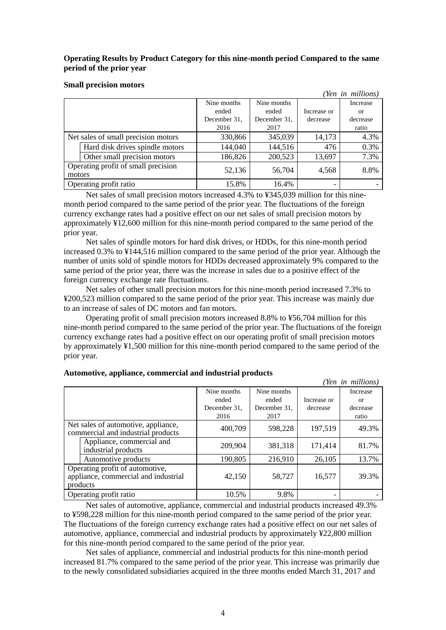# **Operating Results by Product Category for this nine-month period Compared to the same period of the prior year**

### **Small precision motors**

|        |                                     |              |              |             | (Yen in millions) |
|--------|-------------------------------------|--------------|--------------|-------------|-------------------|
|        |                                     | Nine months  | Nine months  |             | Increase          |
|        |                                     | ended        | ended        | Increase or | <sub>or</sub>     |
|        |                                     | December 31, | December 31. | decrease    | decrease          |
|        |                                     | 2016         | 2017         |             | ratio             |
|        | Net sales of small precision motors | 330,866      | 345,039      | 14,173      | 4.3%              |
|        | Hard disk drives spindle motors     | 144,040      | 144,516      | 476         | 0.3%              |
|        | Other small precision motors        | 186,826      | 200,523      | 13,697      | 7.3%              |
| motors | Operating profit of small precision | 52,136       | 56,704       | 4,568       | 8.8%              |
|        | Operating profit ratio              | 15.8%        | 16.4%        |             |                   |

Net sales of small precision motors increased 4.3% to ¥345,039 million for this ninemonth period compared to the same period of the prior year. The fluctuations of the foreign currency exchange rates had a positive effect on our net sales of small precision motors by approximately ¥12,600 million for this nine-month period compared to the same period of the prior year.

Net sales of spindle motors for hard disk drives, or HDDs, for this nine-month period increased 0.3% to ¥144,516 million compared to the same period of the prior year. Although the number of units sold of spindle motors for HDDs decreased approximately 9% compared to the same period of the prior year, there was the increase in sales due to a positive effect of the foreign currency exchange rate fluctuations.

Net sales of other small precision motors for this nine-month period increased 7.3% to ¥200,523 million compared to the same period of the prior year. This increase was mainly due to an increase of sales of DC motors and fan motors.

Operating profit of small precision motors increased 8.8% to ¥56,704 million for this nine-month period compared to the same period of the prior year. The fluctuations of the foreign currency exchange rates had a positive effect on our operating profit of small precision motors by approximately ¥1,500 million for this nine-month period compared to the same period of the prior year.

| . .                                                                                 |              |              |             | (Yen in millions) |
|-------------------------------------------------------------------------------------|--------------|--------------|-------------|-------------------|
|                                                                                     | Nine months  | Nine months  |             | <b>Increase</b>   |
|                                                                                     | ended        | ended        | Increase or | 0r                |
|                                                                                     | December 31. | December 31, | decrease    | decrease          |
|                                                                                     | 2016         | 2017         |             | ratio             |
| Net sales of automotive, appliance,<br>commercial and industrial products           | 400,709      | 598,228      | 197,519     | 49.3%             |
| Appliance, commercial and<br>industrial products                                    | 209,904      | 381,318      | 171,414     | 81.7%             |
| Automotive products                                                                 | 190,805      | 216,910      | 26,105      | 13.7%             |
| Operating profit of automotive,<br>appliance, commercial and industrial<br>products | 42,150       | 58,727       | 16,577      | 39.3%             |
| Operating profit ratio                                                              | 10.5%        | 9.8%         |             |                   |

### **Automotive, appliance, commercial and industrial products**

Net sales of automotive, appliance, commercial and industrial products increased 49.3% to ¥598,228 million for this nine-month period compared to the same period of the prior year. The fluctuations of the foreign currency exchange rates had a positive effect on our net sales of automotive, appliance, commercial and industrial products by approximately ¥22,800 million for this nine-month period compared to the same period of the prior year.

Net sales of appliance, commercial and industrial products for this nine-month period increased 81.7% compared to the same period of the prior year. This increase was primarily due to the newly consolidated subsidiaries acquired in the three months ended March 31, 2017 and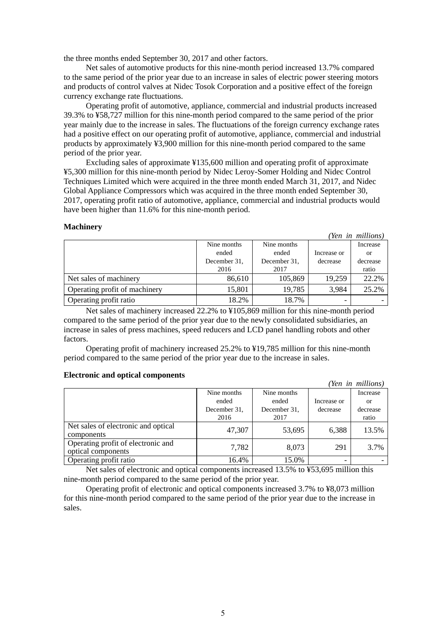the three months ended September 30, 2017 and other factors.

Net sales of automotive products for this nine-month period increased 13.7% compared to the same period of the prior year due to an increase in sales of electric power steering motors and products of control valves at Nidec Tosok Corporation and a positive effect of the foreign currency exchange rate fluctuations.

Operating profit of automotive, appliance, commercial and industrial products increased 39.3% to ¥58,727 million for this nine-month period compared to the same period of the prior year mainly due to the increase in sales. The fluctuations of the foreign currency exchange rates had a positive effect on our operating profit of automotive, appliance, commercial and industrial products by approximately ¥3,900 million for this nine-month period compared to the same period of the prior year.

Excluding sales of approximate ¥135,600 million and operating profit of approximate ¥5,300 million for this nine-month period by Nidec Leroy-Somer Holding and Nidec Control Techniques Limited which were acquired in the three month ended March 31, 2017, and Nidec Global Appliance Compressors which was acquired in the three month ended September 30, 2017, operating profit ratio of automotive, appliance, commercial and industrial products would have been higher than 11.6% for this nine-month period.

### **Machinery**

| 1120001111101                 |              |              |             | (Yen in millions) |
|-------------------------------|--------------|--------------|-------------|-------------------|
|                               | Nine months  | Nine months  |             | Increase          |
|                               | ended        | ended        | Increase or | or                |
|                               | December 31. | December 31. | decrease    | decrease          |
|                               | 2016         | 2017         |             | ratio             |
| Net sales of machinery        | 86,610       | 105,869      | 19,259      | 22.2%             |
| Operating profit of machinery | 15,801       | 19,785       | 3,984       | 25.2%             |
| Operating profit ratio        | 18.2%        | 18.7%        |             |                   |

Net sales of machinery increased 22.2% to ¥105,869 million for this nine-month period compared to the same period of the prior year due to the newly consolidated subsidiaries, an increase in sales of press machines, speed reducers and LCD panel handling robots and other factors.

Operating profit of machinery increased 25.2% to ¥19,785 million for this nine-month period compared to the same period of the prior year due to the increase in sales.

### **Electronic and optical components**

|                                                          |              |              |             | (Yen in millions) |
|----------------------------------------------------------|--------------|--------------|-------------|-------------------|
|                                                          | Nine months  | Nine months  |             | Increase          |
|                                                          | ended        | ended        | Increase or | or                |
|                                                          | December 31. | December 31. | decrease    | decrease          |
|                                                          | 2016         | 2017         |             | ratio             |
| Net sales of electronic and optical<br>components        | 47,307       | 53,695       | 6,388       | 13.5%             |
| Operating profit of electronic and<br>optical components | 7,782        | 8,073        | 291         | 3.7%              |
| Operating profit ratio                                   | 16.4%        | 15.0%        |             |                   |

Net sales of electronic and optical components increased 13.5% to ¥53,695 million this nine-month period compared to the same period of the prior year.

Operating profit of electronic and optical components increased 3.7% to ¥8,073 million for this nine-month period compared to the same period of the prior year due to the increase in sales.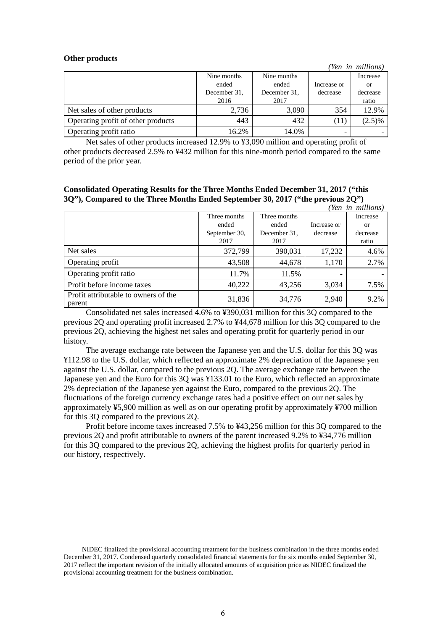### **Other products**

|                                    |              |              |             | (Yen in millions) |
|------------------------------------|--------------|--------------|-------------|-------------------|
|                                    | Nine months  | Nine months  |             | Increase          |
|                                    | ended        | ended        | Increase or | or                |
|                                    | December 31. | December 31. | decrease    | decrease          |
|                                    | 2016         | 2017         |             | ratio             |
| Net sales of other products        | 2,736        | 3,090        | 354         | 12.9%             |
| Operating profit of other products | 443          | 432          | (11)        | $(2.5)\%$         |
| Operating profit ratio             | 16.2%        | 14.0%        |             |                   |

Net sales of other products increased 12.9% to ¥3,090 million and operating profit of other products decreased 2.5% to ¥432 million for this nine-month period compared to the same period of the prior year.

**Consolidated Operating Results for the Three Months Ended December 31, 2017 ("this 3Q"), Compared to the Three Months Ended September 30, 2017 ("the previous 2Q")** 

|                                                |               |              |             | (Yen in millions) |
|------------------------------------------------|---------------|--------------|-------------|-------------------|
|                                                | Three months  | Three months |             | Increase          |
|                                                | ended         | ended        | Increase or | or                |
|                                                | September 30, | December 31, | decrease    | decrease          |
|                                                | 2017          | 2017         |             | ratio             |
| Net sales                                      | 372,799       | 390,031      | 17,232      | 4.6%              |
| Operating profit                               | 43,508        | 44,678       | 1,170       | 2.7%              |
| Operating profit ratio                         | 11.7%         | 11.5%        | -           |                   |
| Profit before income taxes                     | 40,222        | 43,256       | 3,034       | 7.5%              |
| Profit attributable to owners of the<br>parent | 31,836        | 34,776       | 2,940       | 9.2%              |

Consolidated net sales increased 4.6% to ¥390,031 million for this 3Q compared to the previous 2Q and operating profit increased 2.7% to ¥44,678 million for this 3Q compared to the previous 2Q, achieving the highest net sales and operating profit for quarterly period in our history.

The average exchange rate between the Japanese yen and the U.S. dollar for this 3Q was ¥112.98 to the U.S. dollar, which reflected an approximate 2% depreciation of the Japanese yen against the U.S. dollar, compared to the previous 2Q. The average exchange rate between the Japanese yen and the Euro for this 3Q was ¥133.01 to the Euro, which reflected an approximate 2% depreciation of the Japanese yen against the Euro, compared to the previous 2Q. The fluctuations of the foreign currency exchange rates had a positive effect on our net sales by approximately ¥5,900 million as well as on our operating profit by approximately ¥700 million for this 3Q compared to the previous 2Q.

Profit before income taxes increased 7.5% to ¥43,256 million for this 3Q compared to the previous 2Q and profit attributable to owners of the parent increased 9.2% to ¥34,776 million for this 3Q compared to the previous 2Q, achieving the highest profits for quarterly period in our history, respectively.

NIDEC finalized the provisional accounting treatment for the business combination in the three months ended December 31, 2017. Condensed quarterly consolidated financial statements for the six months ended September 30, 2017 reflect the important revision of the initially allocated amounts of acquisition price as NIDEC finalized the provisional accounting treatment for the business combination.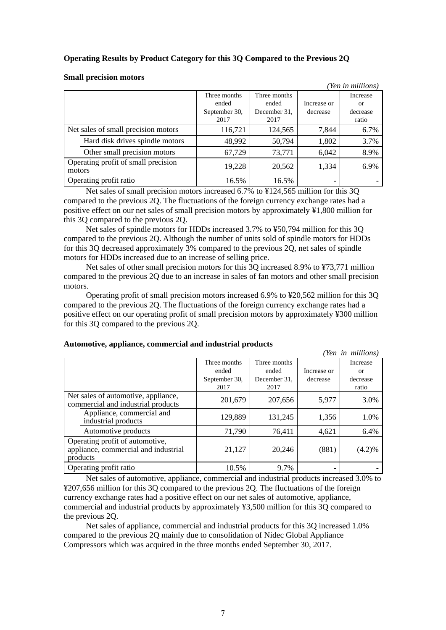# **Operating Results by Product Category for this 3Q Compared to the Previous 2Q**

|                                               |                                 |               |              |             | (Yen in millions) |
|-----------------------------------------------|---------------------------------|---------------|--------------|-------------|-------------------|
|                                               |                                 | Three months  | Three months |             | Increase          |
|                                               |                                 | ended         | ended        | Increase or | <sub>or</sub>     |
|                                               |                                 | September 30, | December 31. | decrease    | decrease          |
|                                               |                                 | 2017          | 2017         |             | ratio             |
| Net sales of small precision motors           |                                 | 116,721       | 124,565      | 7,844       | 6.7%              |
|                                               | Hard disk drives spindle motors | 48,992        | 50,794       | 1,802       | 3.7%              |
|                                               | Other small precision motors    | 67,729        | 73,771       | 6,042       | 8.9%              |
| Operating profit of small precision<br>motors |                                 | 19,228        | 20,562       | 1,334       | 6.9%              |
| Operating profit ratio                        |                                 | 16.5%         | 16.5%        |             |                   |

### **Small precision motors**

Net sales of small precision motors increased 6.7% to ¥124,565 million for this 3Q compared to the previous 2Q. The fluctuations of the foreign currency exchange rates had a positive effect on our net sales of small precision motors by approximately ¥1,800 million for this 3Q compared to the previous 2Q.

Net sales of spindle motors for HDDs increased 3.7% to ¥50,794 million for this 3Q compared to the previous 2Q. Although the number of units sold of spindle motors for HDDs for this 3Q decreased approximately 3% compared to the previous  $2\overline{Q}$ , net sales of spindle motors for HDDs increased due to an increase of selling price.

Net sales of other small precision motors for this 3Q increased 8.9% to ¥73,771 million compared to the previous 2Q due to an increase in sales of fan motors and other small precision motors.

Operating profit of small precision motors increased 6.9% to ¥20,562 million for this 3Q compared to the previous 2Q. The fluctuations of the foreign currency exchange rates had a positive effect on our operating profit of small precision motors by approximately ¥300 million for this 3Q compared to the previous 2Q.

|                                                                                     |                                                  |               |              |             | (Yen in millions) |
|-------------------------------------------------------------------------------------|--------------------------------------------------|---------------|--------------|-------------|-------------------|
|                                                                                     |                                                  | Three months  | Three months |             | Increase          |
|                                                                                     |                                                  | ended         | ended        | Increase or | <sub>or</sub>     |
|                                                                                     |                                                  | September 30, | December 31. | decrease    | decrease          |
|                                                                                     |                                                  | 2017          | 2017         |             | ratio             |
| Net sales of automotive, appliance,<br>commercial and industrial products           |                                                  | 201,679       | 207,656      | 5,977       | 3.0%              |
|                                                                                     | Appliance, commercial and<br>industrial products | 129,889       | 131,245      | 1,356       | 1.0%              |
|                                                                                     | Automotive products                              | 71,790        | 76,411       | 4,621       | 6.4%              |
| Operating profit of automotive,<br>appliance, commercial and industrial<br>products |                                                  | 21,127        | 20,246       | (881)       | (4.2)%            |
|                                                                                     | Operating profit ratio                           | 10.5%         | 9.7%         |             |                   |

Net sales of automotive, appliance, commercial and industrial products increased 3.0% to ¥207,656 million for this 3Q compared to the previous 2Q. The fluctuations of the foreign currency exchange rates had a positive effect on our net sales of automotive, appliance, commercial and industrial products by approximately ¥3,500 million for this 3Q compared to the previous 2Q.

Net sales of appliance, commercial and industrial products for this 3Q increased 1.0% compared to the previous 2Q mainly due to consolidation of Nidec Global Appliance Compressors which was acquired in the three months ended September 30, 2017.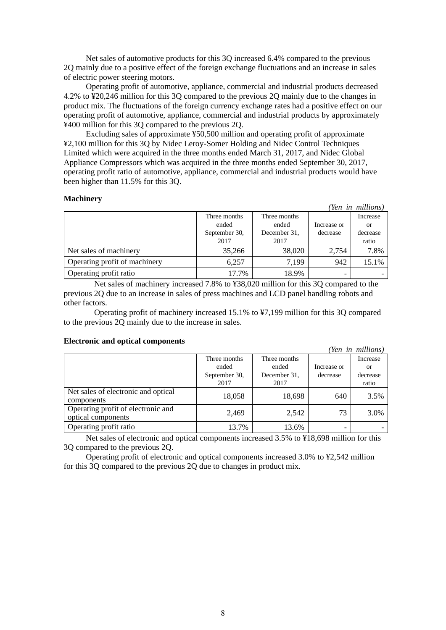Net sales of automotive products for this 3Q increased 6.4% compared to the previous 2Q mainly due to a positive effect of the foreign exchange fluctuations and an increase in sales of electric power steering motors.

Operating profit of automotive, appliance, commercial and industrial products decreased 4.2% to ¥20,246 million for this 3Q compared to the previous 2Q mainly due to the changes in product mix. The fluctuations of the foreign currency exchange rates had a positive effect on our operating profit of automotive, appliance, commercial and industrial products by approximately ¥400 million for this 3Q compared to the previous 2Q.

Excluding sales of approximate ¥50,500 million and operating profit of approximate ¥2,100 million for this 3Q by Nidec Leroy-Somer Holding and Nidec Control Techniques Limited which were acquired in the three months ended March 31, 2017, and Nidec Global Appliance Compressors which was acquired in the three months ended September 30, 2017, operating profit ratio of automotive, appliance, commercial and industrial products would have been higher than 11.5% for this 3Q.

### **Machinery**

|                               |                |              |             | (Yen in millions) |
|-------------------------------|----------------|--------------|-------------|-------------------|
|                               | Three months   | Three months |             | Increase          |
|                               | ended<br>ended |              | Increase or | or                |
|                               | September 30,  | December 31, | decrease    | decrease          |
|                               | 2017           | 2017         |             | ratio             |
| Net sales of machinery        | 35,266         | 38,020       | 2.754       | 7.8%              |
| Operating profit of machinery | 6,257          | 7,199        | 942         | 15.1%             |
| Operating profit ratio        | 17.7%          | 18.9%        |             |                   |

Net sales of machinery increased 7.8% to ¥38,020 million for this 3Q compared to the previous 2Q due to an increase in sales of press machines and LCD panel handling robots and other factors.

Operating profit of machinery increased 15.1% to ¥7,199 million for this 3Q compared to the previous 2Q mainly due to the increase in sales.

### **Electronic and optical components**

|                                                          |               |              |             | (Yen in millions) |
|----------------------------------------------------------|---------------|--------------|-------------|-------------------|
|                                                          | Three months  | Increase     |             |                   |
|                                                          | ended         | ended        | Increase or | or                |
|                                                          | September 30, | December 31. | decrease    | decrease          |
|                                                          | 2017          | 2017         |             | ratio             |
| Net sales of electronic and optical<br>components        | 18,058        | 18,698       | 640         | 3.5%              |
| Operating profit of electronic and<br>optical components | 2,469         | 2,542        | 73          | 3.0%              |
| Operating profit ratio                                   | 13.7%         | 13.6%        |             |                   |

Net sales of electronic and optical components increased 3.5% to ¥18,698 million for this 3Q compared to the previous 2Q.

Operating profit of electronic and optical components increased 3.0% to ¥2,542 million for this 3Q compared to the previous 2Q due to changes in product mix.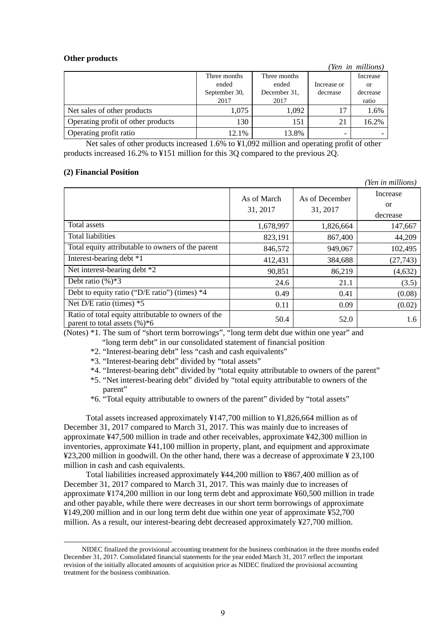### **Other products**

|                                    |               |              |             | (Yen in millions) |
|------------------------------------|---------------|--------------|-------------|-------------------|
|                                    | Three months  | Three months |             | Increase          |
|                                    | ended         | ended        | Increase or | or                |
|                                    | September 30, | December 31. | decrease    | decrease          |
|                                    | 2017          | 2017         |             | ratio             |
| Net sales of other products        | 1,075         | 1,092        | 17          | 1.6%              |
| Operating profit of other products | 130           | 151          | 21          | 16.2%             |
| Operating profit ratio             | 12.1%         | 13.8%        |             |                   |

Net sales of other products increased 1.6% to ¥1,092 million and operating profit of other products increased 16.2% to ¥151 million for this 3Q compared to the previous 2Q.

### **(2) Financial Position**

|                                                                                         |                         |                            | (Yen in millions)                 |
|-----------------------------------------------------------------------------------------|-------------------------|----------------------------|-----------------------------------|
|                                                                                         | As of March<br>31, 2017 | As of December<br>31, 2017 | Increase<br><b>or</b><br>decrease |
| Total assets                                                                            | 1,678,997               | 1,826,664                  | 147,667                           |
| <b>Total liabilities</b>                                                                | 823,191                 | 867,400                    | 44,209                            |
| Total equity attributable to owners of the parent                                       | 846,572                 | 949,067                    | 102,495                           |
| Interest-bearing debt *1                                                                | 412,431                 | 384,688                    | (27,743)                          |
| Net interest-bearing debt *2                                                            | 90,851                  | 86,219                     | (4,632)                           |
| Debt ratio $(\%)*3$                                                                     | 24.6                    | 21.1                       | (3.5)                             |
| Debt to equity ratio ("D/E ratio") (times) $*4$                                         | 0.49                    | 0.41                       | (0.08)                            |
| Net D/E ratio (times) $*5$                                                              | 0.11                    | 0.09                       | (0.02)                            |
| Ratio of total equity attributable to owners of the<br>parent to total assets $(\%)^*6$ | 50.4                    | 52.0                       | 1.6                               |

(Notes) \*1. The sum of "short term borrowings", "long term debt due within one year" and "long term debt" in our consolidated statement of financial position

- \*2. "Interest-bearing debt" less "cash and cash equivalents"
- \*3. "Interest-bearing debt" divided by "total assets"
- \*4. "Interest-bearing debt" divided by "total equity attributable to owners of the parent"
- \*5. "Net interest-bearing debt" divided by "total equity attributable to owners of the parent"
- \*6. "Total equity attributable to owners of the parent" divided by "total assets"

Total assets increased approximately ¥147,700 million to ¥1,826,664 million as of December 31, 2017 compared to March 31, 2017. This was mainly due to increases of approximate ¥47,500 million in trade and other receivables, approximate ¥42,300 million in inventories, approximate ¥41,100 million in property, plant, and equipment and approximate ¥23,200 million in goodwill. On the other hand, there was a decrease of approximate ¥ 23,100 million in cash and cash equivalents.4

Total liabilities increased approximately ¥44,200 million to ¥867,400 million as of December 31, 2017 compared to March 31, 2017. This was mainly due to increases of approximate ¥174,200 million in our long term debt and approximate ¥60,500 million in trade and other payable, while there were decreases in our short term borrowings of approximate ¥149,200 million and in our long term debt due within one year of approximate ¥52,700 million. As a result, our interest-bearing debt decreased approximately ¥27,700 million.

NIDEC finalized the provisional accounting treatment for the business combination in the three months ended December 31, 2017. Consolidated financial statements for the year ended March 31, 2017 reflect the important revision of the initially allocated amounts of acquisition price as NIDEC finalized the provisional accounting treatment for the business combination.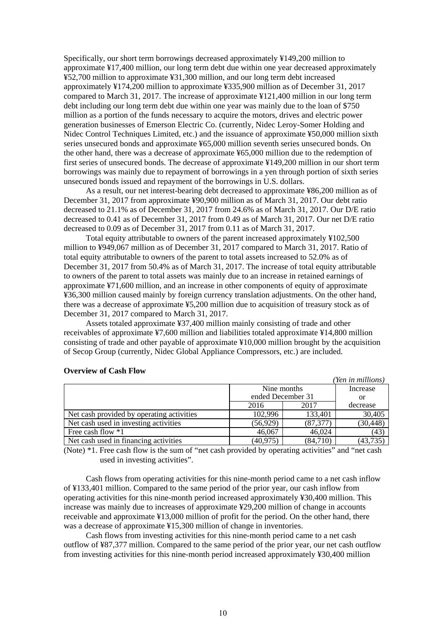Specifically, our short term borrowings decreased approximately ¥149,200 million to approximate ¥17,400 million, our long term debt due within one year decreased approximately ¥52,700 million to approximate ¥31,300 million, and our long term debt increased approximately ¥174,200 million to approximate ¥335,900 million as of December 31, 2017 compared to March 31, 2017. The increase of approximate ¥121,400 million in our long term debt including our long term debt due within one year was mainly due to the loan of \$750 million as a portion of the funds necessary to acquire the motors, drives and electric power generation businesses of Emerson Electric Co. (currently, Nidec Leroy-Somer Holding and Nidec Control Techniques Limited, etc.) and the issuance of approximate ¥50,000 million sixth series unsecured bonds and approximate ¥65,000 million seventh series unsecured bonds. On the other hand, there was a decrease of approximate ¥65,000 million due to the redemption of first series of unsecured bonds. The decrease of approximate ¥149,200 million in our short term borrowings was mainly due to repayment of borrowings in a yen through portion of sixth series unsecured bonds issued and repayment of the borrowings in U.S. dollars.

As a result, our net interest-bearing debt decreased to approximate ¥86,200 million as of December 31, 2017 from approximate ¥90,900 million as of March 31, 2017. Our debt ratio decreased to 21.1% as of December 31, 2017 from 24.6% as of March 31, 2017. Our D/E ratio decreased to 0.41 as of December 31, 2017 from 0.49 as of March 31, 2017. Our net D/E ratio decreased to 0.09 as of December 31, 2017 from 0.11 as of March 31, 2017.

Total equity attributable to owners of the parent increased approximately ¥102,500 million to ¥949,067 million as of December 31, 2017 compared to March 31, 2017. Ratio of total equity attributable to owners of the parent to total assets increased to 52.0% as of December 31, 2017 from 50.4% as of March 31, 2017. The increase of total equity attributable to owners of the parent to total assets was mainly due to an increase in retained earnings of approximate ¥71,600 million, and an increase in other components of equity of approximate ¥36,300 million caused mainly by foreign currency translation adjustments. On the other hand, there was a decrease of approximate ¥5,200 million due to acquisition of treasury stock as of December 31, 2017 compared to March 31, 2017.

Assets totaled approximate ¥37,400 million mainly consisting of trade and other receivables of approximate ¥7,600 million and liabilities totaled approximate ¥14,800 million consisting of trade and other payable of approximate ¥10,000 million brought by the acquisition of Secop Group (currently, Nidec Global Appliance Compressors, etc.) are included.

|                                           |                   |           | (Yen in millions) |
|-------------------------------------------|-------------------|-----------|-------------------|
|                                           | Nine months       | Increase  |                   |
|                                           | ended December 31 | or        |                   |
|                                           | 2016              | 2017      | decrease          |
| Net cash provided by operating activities | 102,996           | 133,401   | 30,405            |
| Net cash used in investing activities     | (56, 929)         | (87, 377) | (30, 448)         |
| Free cash flow *1                         | 46,067            | 46,024    | (43)              |
| Net cash used in financing activities     | (40, 975)         | (84,710)  | (43,735           |

### **Overview of Cash Flow**

(Note) \*1. Free cash flow is the sum of "net cash provided by operating activities" and "net cash used in investing activities".

Cash flows from operating activities for this nine-month period came to a net cash inflow of ¥133,401 million. Compared to the same period of the prior year, our cash inflow from operating activities for this nine-month period increased approximately ¥30,400 million. This increase was mainly due to increases of approximate ¥29,200 million of change in accounts receivable and approximate ¥13,000 million of profit for the period. On the other hand, there was a decrease of approximate ¥15,300 million of change in inventories.

Cash flows from investing activities for this nine-month period came to a net cash outflow of ¥87,377 million. Compared to the same period of the prior year, our net cash outflow from investing activities for this nine-month period increased approximately ¥30,400 million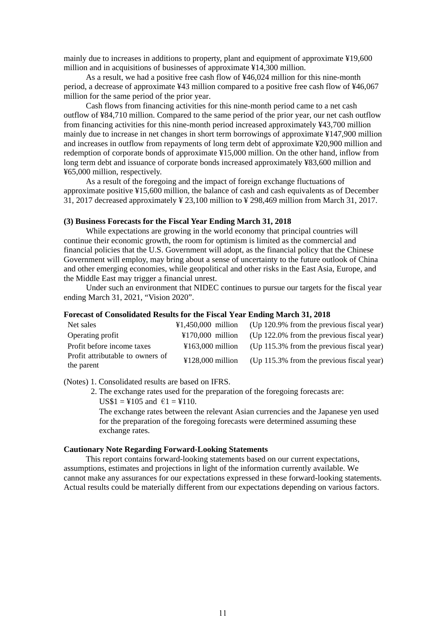mainly due to increases in additions to property, plant and equipment of approximate ¥19,600 million and in acquisitions of businesses of approximate ¥14,300 million.

As a result, we had a positive free cash flow of ¥46,024 million for this nine-month period, a decrease of approximate ¥43 million compared to a positive free cash flow of ¥46,067 million for the same period of the prior year.

Cash flows from financing activities for this nine-month period came to a net cash outflow of ¥84,710 million. Compared to the same period of the prior year, our net cash outflow from financing activities for this nine-month period increased approximately ¥43,700 million mainly due to increase in net changes in short term borrowings of approximate ¥147,900 million and increases in outflow from repayments of long term debt of approximate ¥20,900 million and redemption of corporate bonds of approximate ¥15,000 million. On the other hand, inflow from long term debt and issuance of corporate bonds increased approximately ¥83,600 million and ¥65,000 million, respectively.

As a result of the foregoing and the impact of foreign exchange fluctuations of approximate positive ¥15,600 million, the balance of cash and cash equivalents as of December 31, 2017 decreased approximately ¥ 23,100 million to ¥ 298,469 million from March 31, 2017.

# **(3) Business Forecasts for the Fiscal Year Ending March 31, 2018**

While expectations are growing in the world economy that principal countries will continue their economic growth, the room for optimism is limited as the commercial and financial policies that the U.S. Government will adopt, as the financial policy that the Chinese Government will employ, may bring about a sense of uncertainty to the future outlook of China and other emerging economies, while geopolitical and other risks in the East Asia, Europe, and the Middle East may trigger a financial unrest.

Under such an environment that NIDEC continues to pursue our targets for the fiscal year ending March 31, 2021, "Vision 2020".

### **Forecast of Consolidated Results for the Fiscal Year Ending March 31, 2018**

| Net sales                                      | $\text{\textsterling}1.450.000$ million | (Up 120.9% from the previous fiscal year) |
|------------------------------------------------|-----------------------------------------|-------------------------------------------|
| Operating profit                               | $\text{\textsterling}170.000$ million   | (Up 122.0% from the previous fiscal year) |
| Profit before income taxes                     | $\text{\textsterling}163.000$ million   | (Up 115.3% from the previous fiscal year) |
| Profit attributable to owners of<br>the parent | $\text{\textsterling}128,000$ million   | (Up 115.3% from the previous fiscal year) |

(Notes) 1. Consolidated results are based on IFRS.

2. The exchange rates used for the preparation of the foregoing forecasts are:  $US$1 = $105$  and  $€1 = $110$ .

The exchange rates between the relevant Asian currencies and the Japanese yen used for the preparation of the foregoing forecasts were determined assuming these exchange rates.

### **Cautionary Note Regarding Forward-Looking Statements**

This report contains forward-looking statements based on our current expectations, assumptions, estimates and projections in light of the information currently available. We cannot make any assurances for our expectations expressed in these forward-looking statements. Actual results could be materially different from our expectations depending on various factors.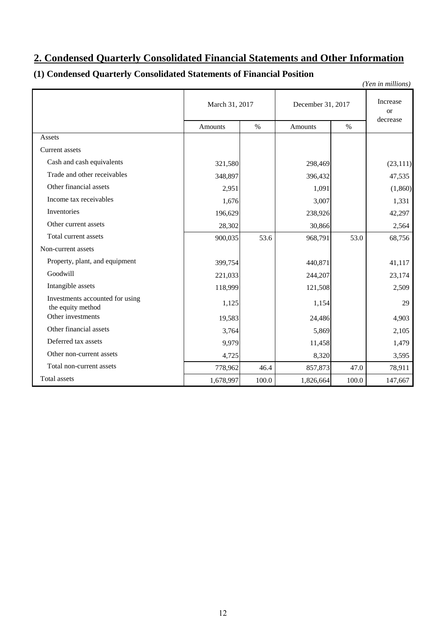# **2. Condensed Quarterly Consolidated Financial Statements and Other Information**

# **(1) Condensed Quarterly Consolidated Statements of Financial Position**

|                                                      |                |       |                   |                           | (Yen in millions) |
|------------------------------------------------------|----------------|-------|-------------------|---------------------------|-------------------|
|                                                      | March 31, 2017 |       | December 31, 2017 | Increase<br><sub>or</sub> |                   |
|                                                      | <b>Amounts</b> | $\%$  | <b>Amounts</b>    | $\%$                      | decrease          |
| Assets                                               |                |       |                   |                           |                   |
| <b>Current</b> assets                                |                |       |                   |                           |                   |
| Cash and cash equivalents                            | 321,580        |       | 298,469           |                           | (23, 111)         |
| Trade and other receivables                          | 348,897        |       | 396,432           |                           | 47,535            |
| Other financial assets                               | 2,951          |       | 1,091             |                           | (1,860)           |
| Income tax receivables                               | 1,676          |       | 3,007             |                           | 1,331             |
| Inventories                                          | 196,629        |       | 238,926           |                           | 42,297            |
| Other current assets                                 | 28,302         |       | 30,866            |                           | 2,564             |
| Total current assets                                 | 900,035        | 53.6  | 968,791           | 53.0                      | 68,756            |
| Non-current assets                                   |                |       |                   |                           |                   |
| Property, plant, and equipment                       | 399,754        |       | 440,871           |                           | 41,117            |
| Goodwill                                             | 221,033        |       | 244,207           |                           | 23,174            |
| Intangible assets                                    | 118,999        |       | 121,508           |                           | 2,509             |
| Investments accounted for using<br>the equity method | 1,125          |       | 1,154             |                           | 29                |
| Other investments                                    | 19,583         |       | 24,486            |                           | 4,903             |
| Other financial assets                               | 3,764          |       | 5,869             |                           | 2,105             |
| Deferred tax assets                                  | 9,979          |       | 11,458            |                           | 1,479             |
| Other non-current assets                             | 4,725          |       | 8,320             |                           | 3,595             |
| Total non-current assets                             | 778,962        | 46.4  | 857,873           | 47.0                      | 78,911            |
| Total assets                                         | 1,678,997      | 100.0 | 1,826,664         | 100.0                     | 147,667           |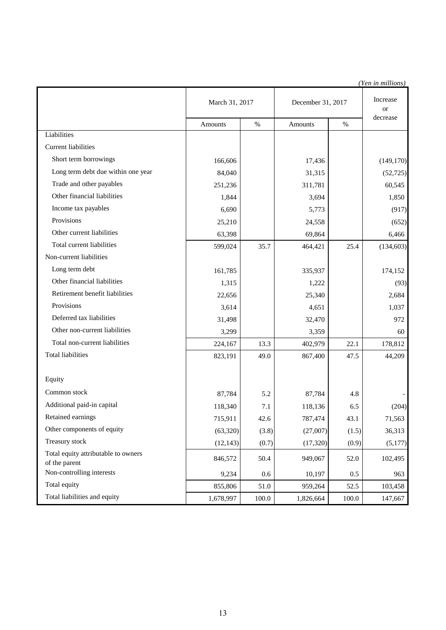|                                                      |                |       |                   |       | (Yen in millions)     |
|------------------------------------------------------|----------------|-------|-------------------|-------|-----------------------|
|                                                      | March 31, 2017 |       | December 31, 2017 |       | Increase<br><b>or</b> |
|                                                      | Amounts        | $\%$  | Amounts           | $\%$  | decrease              |
| Liabilities                                          |                |       |                   |       |                       |
| <b>Current liabilities</b>                           |                |       |                   |       |                       |
| Short term borrowings                                | 166,606        |       | 17,436            |       | (149, 170)            |
| Long term debt due within one year                   | 84,040         |       | 31,315            |       | (52, 725)             |
| Trade and other payables                             | 251,236        |       | 311,781           |       | 60,545                |
| Other financial liabilities                          | 1,844          |       | 3,694             |       | 1,850                 |
| Income tax payables                                  | 6,690          |       | 5,773             |       | (917)                 |
| Provisions                                           | 25,210         |       | 24,558            |       | (652)                 |
| Other current liabilities                            | 63,398         |       | 69,864            |       | 6,466                 |
| Total current liabilities                            | 599,024        | 35.7  | 464,421           | 25.4  | (134, 603)            |
| Non-current liabilities                              |                |       |                   |       |                       |
| Long term debt                                       | 161,785        |       | 335,937           |       | 174,152               |
| Other financial liabilities                          | 1,315          |       | 1,222             |       | (93)                  |
| Retirement benefit liabilities                       | 22,656         |       | 25,340            |       | 2,684                 |
| Provisions                                           | 3,614          |       | 4,651             |       | 1,037                 |
| Deferred tax liabilities                             | 31,498         |       | 32,470            |       | 972                   |
| Other non-current liabilities                        | 3,299          |       | 3,359             |       | 60                    |
| Total non-current liabilities                        | 224,167        | 13.3  | 402,979           | 22.1  | 178,812               |
| <b>Total liabilities</b>                             | 823,191        | 49.0  | 867,400           | 47.5  | 44,209                |
| Equity                                               |                |       |                   |       |                       |
| Common stock                                         | 87,784         | 5.2   | 87,784            | 4.8   |                       |
| Additional paid-in capital                           | 118,340        | 7.1   | 118,136           | 6.5   | (204)                 |
| Retained earnings                                    | 715,911        | 42.6  | 787,474           | 43.1  | 71,563                |
| Other components of equity                           | (63,320)       | (3.8) | (27,007)          | (1.5) | 36,313                |
| Treasury stock                                       | (12, 143)      | (0.7) | (17, 320)         | (0.9) | (5,177)               |
| Total equity attributable to owners<br>of the parent | 846,572        | 50.4  | 949,067           | 52.0  | 102,495               |
| Non-controlling interests                            | 9,234          | 0.6   | 10,197            | 0.5   | 963                   |
| Total equity                                         | 855,806        | 51.0  | 959,264           | 52.5  | 103,458               |
| Total liabilities and equity                         | 1,678,997      | 100.0 | 1,826,664         | 100.0 | 147,667               |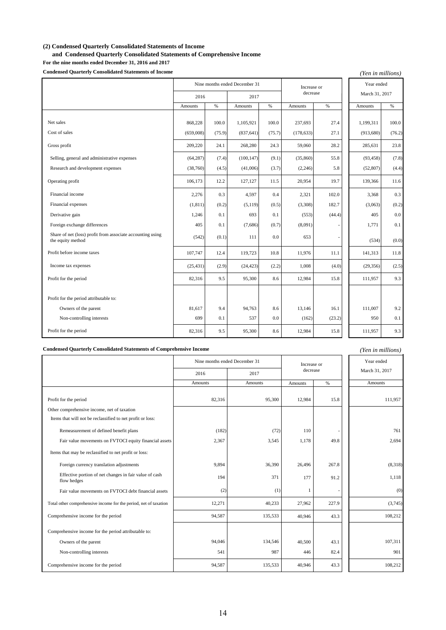### **(2) Condensed Quarterly Consolidated Statements of Income**

**and Condensed Quarterly Consolidated Statements of Comprehensive Income**

**For the nine months ended December 31, 2016 and 2017**

Condens

| <b>Condensed Quarterly Consolidated Statements of Income</b>                    |           |        |                               |        |             |          | (Yen in millions) |        |
|---------------------------------------------------------------------------------|-----------|--------|-------------------------------|--------|-------------|----------|-------------------|--------|
|                                                                                 |           |        | Nine months ended December 31 |        | Increase or |          | Year ended        |        |
|                                                                                 | 2016      |        |                               | 2017   |             | decrease | March 31, 2017    |        |
|                                                                                 | Amounts   | $\%$   | Amounts                       | $\%$   | Amounts     | %        | Amounts           | $\%$   |
| Net sales                                                                       | 868,228   | 100.0  | 1,105,921                     | 100.0  | 237,693     | 27.4     | 1,199,311         | 100.0  |
| Cost of sales                                                                   | (659,008) | (75.9) | (837, 641)                    | (75.7) | (178, 633)  | 27.1     | (913,680)         | (76.2) |
| Gross profit                                                                    | 209,220   | 24.1   | 268,280                       | 24.3   | 59,060      | 28.2     | 285,631           | 23.8   |
| Selling, general and administrative expenses                                    | (64, 287) | (7.4)  | (100, 147)                    | (9.1)  | (35, 860)   | 55.8     | (93, 458)         | (7.8)  |
| Research and development expenses                                               | (38,760)  | (4.5)  | (41,006)                      | (3.7)  | (2,246)     | 5.8      | (52, 807)         | (4.4)  |
| Operating profit                                                                | 106,173   | 12.2   | 127,127                       | 11.5   | 20,954      | 19.7     | 139,366           | 11.6   |
| Financial income                                                                | 2,276     | 0.3    | 4,597                         | 0.4    | 2,321       | 102.0    | 3,368             | 0.3    |
| Financial expenses                                                              | (1, 811)  | (0.2)  | (5, 119)                      | (0.5)  | (3,308)     | 182.7    | (3,063)           | (0.2)  |
| Derivative gain                                                                 | 1,246     | 0.1    | 693                           | 0.1    | (553)       | (44.4)   | 405               | 0.0    |
| Foreign exchange differences                                                    | 405       | 0.1    | (7,686)                       | (0.7)  | (8,091)     |          | 1,771             | 0.1    |
| Share of net (loss) profit from associate accounting using<br>the equity method | (542)     | (0.1)  | 111                           | 0.0    | 653         |          | (534)             | (0.0)  |
| Profit before income taxes                                                      | 107,747   | 12.4   | 119,723                       | 10.8   | 11,976      | 11.1     | 141,313           | 11.8   |
| Income tax expenses                                                             | (25, 431) | (2.9)  | (24, 423)                     | (2.2)  | 1,008       | (4.0)    | (29, 356)         | (2.5)  |
| Profit for the period                                                           | 82,316    | 9.5    | 95,300                        | 8.6    | 12,984      | 15.8     | 111,957           | 9.3    |
| Profit for the period attributable to:                                          |           |        |                               |        |             |          |                   |        |
| Owners of the parent                                                            | 81,617    | 9.4    | 94,763                        | 8.6    | 13,146      | 16.1     | 111,007           | 9.2    |
| Non-controlling interests                                                       | 699       | 0.1    | 537                           | 0.0    | (162)       | (23.2)   | 950               | 0.1    |
| Profit for the period                                                           | 82,316    | 9.5    | 95,300                        | 8.6    | 12,984      | 15.8     | 111,957           | 9.3    |

**Condensed Quarterly Consolidated Statements of Comprehensive Income**

| <b>Condensed Quarterly Consolidated Statements of Comprehensive Income</b> |                               |         |              |       | (Yen in millions) |
|----------------------------------------------------------------------------|-------------------------------|---------|--------------|-------|-------------------|
|                                                                            | Nine months ended December 31 |         | Increase or  |       | Year ended        |
|                                                                            | 2016                          | 2017    | decrease     |       | March 31, 2017    |
|                                                                            | Amounts                       | Amounts | Amounts      | $\%$  | <b>Amounts</b>    |
| Profit for the period                                                      | 82,316                        | 95,300  | 12,984       | 15.8  | 111,957           |
| Other comprehensive income, net of taxation                                |                               |         |              |       |                   |
| Items that will not be reclassified to net profit or loss:                 |                               |         |              |       |                   |
| Remeasurement of defined benefit plans                                     | (182)                         | (72)    | 110          |       | 761               |
| Fair value movements on FVTOCI equity financial assets                     | 2,367                         | 3,545   | 1,178        | 49.8  | 2,694             |
| Items that may be reclassified to net profit or loss:                      |                               |         |              |       |                   |
| Foreign currency translation adjustments                                   | 9,894                         | 36,390  | 26,496       | 267.8 | (8,318)           |
| Effective portion of net changes in fair value of cash<br>flow hedges      | 194                           | 371     | 177          | 91.2  | 1,118             |
| Fair value movements on FVTOCI debt financial assets                       | (2)                           | (1)     | $\mathbf{1}$ |       | (0)               |
| Total other comprehensive income for the period, net of taxation           | 12,271                        | 40,233  | 27,962       | 227.9 | (3,745)           |
| Comprehensive income for the period                                        | 94,587                        | 135,533 | 40,946       | 43.3  | 108,212           |
| Comprehensive income for the period attributable to:                       |                               |         |              |       |                   |
| Owners of the parent                                                       | 94,046                        | 134,546 | 40,500       | 43.1  | 107,311           |
| Non-controlling interests                                                  | 541                           | 987     | 446          | 82.4  | 901               |
| Comprehensive income for the period                                        | 94,587                        | 135,533 | 40,946       | 43.3  | 108,212           |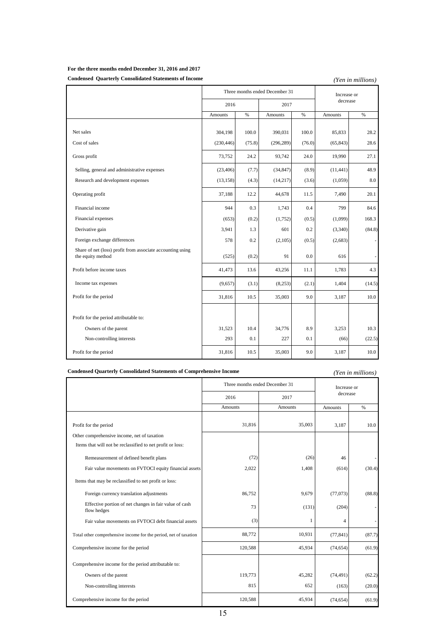### **For the three months ended December 31, 2016 and 2017**

### **Condensed Quarterly Consolidated Statements of Income**

*(Yen in millions)*

|                                                                                 | Three months ended December 31 |        |            |        | Increase or |                          |
|---------------------------------------------------------------------------------|--------------------------------|--------|------------|--------|-------------|--------------------------|
|                                                                                 | 2016                           |        | 2017       |        | decrease    |                          |
|                                                                                 | <b>Amounts</b>                 | $\%$   | Amounts    | $\%$   | Amounts     | $\%$                     |
|                                                                                 |                                |        |            |        |             |                          |
| Net sales                                                                       | 304,198                        | 100.0  | 390,031    | 100.0  | 85,833      | 28.2                     |
| Cost of sales                                                                   | (230, 446)                     | (75.8) | (296, 289) | (76.0) | (65, 843)   | 28.6                     |
| Gross profit                                                                    | 73,752                         | 24.2   | 93,742     | 24.0   | 19,990      | 27.1                     |
| Selling, general and administrative expenses                                    | (23, 406)                      | (7.7)  | (34, 847)  | (8.9)  | (11, 441)   | 48.9                     |
| Research and development expenses                                               | (13, 158)                      | (4.3)  | (14,217)   | (3.6)  | (1,059)     | 8.0                      |
| Operating profit                                                                | 37,188                         | 12.2   | 44,678     | 11.5   | 7,490       | 20.1                     |
| Financial income                                                                | 944                            | 0.3    | 1,743      | 0.4    | 799         | 84.6                     |
| Financial expenses                                                              | (653)                          | (0.2)  | (1,752)    | (0.5)  | (1,099)     | 168.3                    |
| Derivative gain                                                                 | 3,941                          | 1.3    | 601        | 0.2    | (3,340)     | (84.8)                   |
| Foreign exchange differences                                                    | 578                            | 0.2    | (2,105)    | (0.5)  | (2,683)     | $\overline{\phantom{a}}$ |
| Share of net (loss) profit from associate accounting using<br>the equity method | (525)                          | (0.2)  | 91         | 0.0    | 616         | $\overline{\phantom{a}}$ |
| Profit before income taxes                                                      | 41,473                         | 13.6   | 43,256     | 11.1   | 1,783       | 4.3                      |
| Income tax expenses                                                             | (9,657)                        | (3.1)  | (8,253)    | (2.1)  | 1,404       | (14.5)                   |
| Profit for the period                                                           | 31,816                         | 10.5   | 35,003     | 9.0    | 3,187       | 10.0                     |
|                                                                                 |                                |        |            |        |             |                          |
| Profit for the period attributable to:                                          |                                |        |            |        |             |                          |
| Owners of the parent                                                            | 31,523                         | 10.4   | 34,776     | 8.9    | 3,253       | 10.3                     |
| Non-controlling interests                                                       | 293                            | 0.1    | 227        | 0.1    | (66)        | (22.5)                   |
| Profit for the period                                                           | 31,816                         | 10.5   | 35,003     | 9.0    | 3,187       | 10.0                     |

### **Condensed Quarterly Consolidated Statements of Comprehensive Income**

### *(Yen in millions)*

|                                                                       | Three months ended December 31 |                | Increase or    |        |
|-----------------------------------------------------------------------|--------------------------------|----------------|----------------|--------|
|                                                                       | 2016                           | 2017           | decrease       |        |
|                                                                       | <b>Amounts</b>                 | <b>Amounts</b> | <b>Amounts</b> | %      |
|                                                                       |                                |                |                |        |
| Profit for the period                                                 | 31,816                         | 35,003         | 3,187          | 10.0   |
| Other comprehensive income, net of taxation                           |                                |                |                |        |
| Items that will not be reclassified to net profit or loss:            |                                |                |                |        |
| Remeasurement of defined benefit plans                                | (72)                           | (26)           | 46             |        |
| Fair value movements on FVTOCI equity financial assets                | 2,022                          | 1,408          | (614)          | (30.4) |
| Items that may be reclassified to net profit or loss:                 |                                |                |                |        |
| Foreign currency translation adjustments                              | 86,752                         | 9,679          | (77,073)       | (88.8) |
| Effective portion of net changes in fair value of cash<br>flow hedges | 73                             | (131)          | (204)          |        |
| Fair value movements on FVTOCI debt financial assets                  | (3)                            | 1              | 4              |        |
| Total other comprehensive income for the period, net of taxation      | 88,772                         | 10,931         | (77, 841)      | (87.7) |
| Comprehensive income for the period                                   | 120,588                        | 45,934         | (74, 654)      | (61.9) |
| Comprehensive income for the period attributable to:                  |                                |                |                |        |
| Owners of the parent                                                  | 119,773                        | 45,282         | (74, 491)      | (62.2) |
| Non-controlling interests                                             | 815                            | 652            | (163)          | (20.0) |
| Comprehensive income for the period                                   | 120,588                        | 45,934         | (74, 654)      | (61.9) |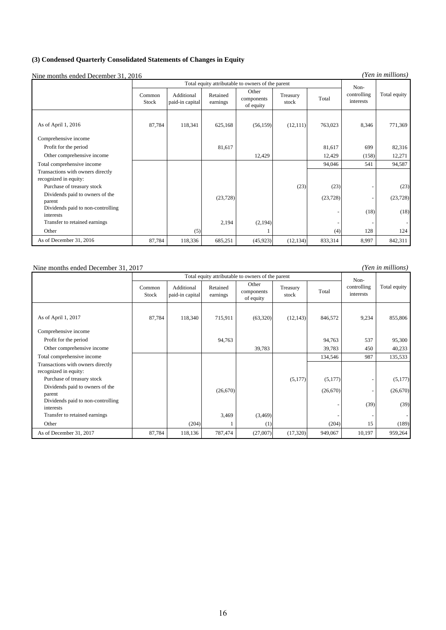### **(3) Condensed Quarterly Consolidated Statements of Changes in Equity**

Nine months ended December 31, 2016

*(Yen in millions)*

*(Yen in millions)*

|                                                |                 |                               |                      | Total equity attributable to owners of the parent |                   |           | Non-                     |              |
|------------------------------------------------|-----------------|-------------------------------|----------------------|---------------------------------------------------|-------------------|-----------|--------------------------|--------------|
|                                                | Common<br>Stock | Additional<br>paid-in capital | Retained<br>earnings | Other<br>components<br>of equity                  | Treasury<br>stock | Total     | controlling<br>interests | Total equity |
| As of April 1, 2016                            | 87,784          | 118,341                       | 625,168              | (56, 159)                                         | (12, 111)         | 763,023   | 8,346                    | 771,369      |
| Comprehensive income                           |                 |                               |                      |                                                   |                   |           |                          |              |
| Profit for the period                          |                 |                               | 81,617               |                                                   |                   | 81,617    | 699                      | 82,316       |
| Other comprehensive income                     |                 |                               |                      | 12,429                                            |                   | 12,429    | (158)                    | 12,271       |
| Total comprehensive income                     |                 |                               |                      |                                                   |                   | 94,046    | 541                      | 94,587       |
| Transactions with owners directly              |                 |                               |                      |                                                   |                   |           |                          |              |
| recognized in equity:                          |                 |                               |                      |                                                   |                   |           |                          |              |
| Purchase of treasury stock                     |                 |                               |                      |                                                   | (23)              | (23)      |                          | (23)         |
| Dividends paid to owners of the<br>parent      |                 |                               | (23, 728)            |                                                   |                   | (23, 728) |                          | (23, 728)    |
| Dividends paid to non-controlling<br>interests |                 |                               |                      |                                                   |                   |           | (18)                     | (18)         |
| Transfer to retained earnings                  |                 |                               | 2,194                | (2,194)                                           |                   |           |                          |              |
| Other                                          |                 | (5)                           |                      |                                                   |                   | (4)       | 128                      | 124          |
| As of December 31, 2016                        | 87,784          | 118,336                       | 685,251              | (45, 923)                                         | (12, 134)         | 833,314   | 8,997                    | 842,311      |

#### Nine months ended December 31, 2017

87,784 118,340 715,911 (63,320) (12,143) 846,572 9,234 855,806 94,763 94,763 537 95,300 39,783 39,783 450 40,233 134,546 987 135,533  $(5,177)$   $(5,177)$   $(5,177)$  $(26,670)$  (26,670) - (26,670)  $(39)$   $(39)$  $3,469$   $(3,469)$   $(204)$  1 (1) (189) 87,784 118,136 787,474 (27,007) (17,320) 949,067 10,197 959,264 As of December 31, 2017 Transactions with owners directly recognized in equity: Purchase of treasury stock Dividends paid to owners of the parent Dividends paid to non-controlling interests Transfer to retained earnings Other Total comprehensive income Total equity attributable to owners of the parent Noncontrolling Total community As of April 1, 2017 Comprehensive income Profit for the period Other comprehensive income  $\text{Common}$  Additional Retained  $\text{O}$ <sup>OULET</sup> Treasury  $\pi$ , controlling Total equity Stock Additional paid-in capital Retained earnings Other components of equity Treasury stock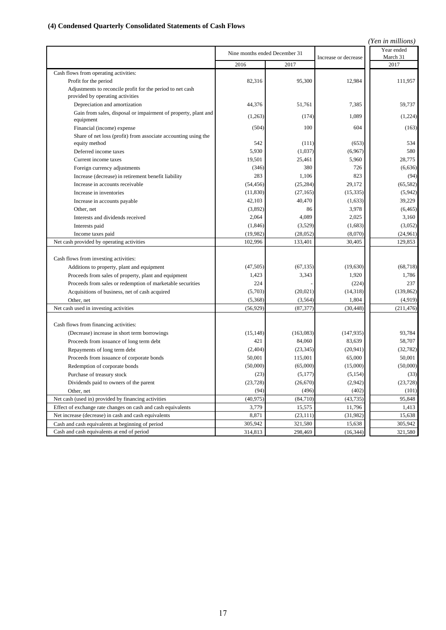# **(4) Condensed Quarterly Consolidated Statements of Cash Flows**

|                                                                                                |                               |           |                      | (Yen in millions)      |
|------------------------------------------------------------------------------------------------|-------------------------------|-----------|----------------------|------------------------|
|                                                                                                | Nine months ended December 31 |           | Increase or decrease | Year ended<br>March 31 |
|                                                                                                | 2016                          | 2017      |                      | 2017                   |
| Cash flows from operating activities:                                                          |                               |           |                      |                        |
| Profit for the period                                                                          | 82,316                        | 95,300    | 12,984               | 111,957                |
| Adjustments to reconcile profit for the period to net cash<br>provided by operating activities |                               |           |                      |                        |
| Depreciation and amortization                                                                  | 44,376                        | 51,761    | 7,385                | 59,737                 |
| Gain from sales, disposal or impairment of property, plant and<br>equipment                    | (1,263)                       | (174)     | 1,089                | (1,224)                |
| Financial (income) expense                                                                     | (504)                         | 100       | 604                  | (163)                  |
| Share of net loss (profit) from associate accounting using the                                 |                               |           |                      |                        |
| equity method                                                                                  | 542                           | (111)     | (653)                | 534                    |
| Deferred income taxes                                                                          | 5,930                         | (1,037)   | (6,967)              | 580                    |
| Current income taxes                                                                           | 19,501                        | 25,461    | 5,960                | 28,775                 |
| Foreign currency adjustments                                                                   | (346)                         | 380       | 726                  | (6,636)                |
| Increase (decrease) in retirement benefit liability                                            | 283                           | 1,106     | 823                  | (94)                   |
| Increase in accounts receivable                                                                | (54, 456)                     | (25, 284) | 29,172               | (65, 582)              |
| Increase in inventories                                                                        | (11, 830)                     | (27, 165) | (15, 335)            | (5,942)                |
| Increase in accounts payable                                                                   | 42,103                        | 40,470    | (1,633)              | 39,229                 |
| Other, net                                                                                     | (3,892)                       | 86        | 3,978                | (6, 465)               |
| Interests and dividends received                                                               | 2,064                         | 4,089     | 2,025                | 3,160                  |
| Interests paid                                                                                 | (1, 846)                      | (3,529)   | (1,683)              | (3,052)                |
| Income taxes paid                                                                              | (19,982)                      | (28,052)  | (8,070)              | (24, 961)              |
| Net cash provided by operating activities                                                      | 102,996                       | 133,401   | 30,405               | 129,853                |
| Cash flows from investing activities:                                                          |                               |           |                      |                        |
| Additions to property, plant and equipment                                                     | (47, 505)                     | (67, 135) | (19,630)             | (68, 718)              |
| Proceeds from sales of property, plant and equipment                                           | 1,423                         | 3,343     | 1,920                | 1,786                  |
| Proceeds from sales or redemption of marketable securities                                     | 224                           |           | (224)                | 237                    |
| Acquisitions of business, net of cash acquired                                                 | (5,703)                       | (20, 021) | (14,318)             | (139, 862)             |
| Other, net                                                                                     | (5,368)                       | (3, 564)  | 1,804                | (4,919)                |
| Net cash used in investing activities                                                          | (56, 929)                     | (87, 377) | (30, 448)            | (211, 476)             |
|                                                                                                |                               |           |                      |                        |
| Cash flows from financing activities:                                                          |                               |           |                      |                        |
| (Decrease) increase in short term borrowings                                                   | (15, 148)                     | (163,083) | (147, 935)           | 93,784                 |
| Proceeds from issuance of long term debt                                                       | 421                           | 84,060    | 83,639               | 58,707                 |
| Repayments of long term debt                                                                   | (2, 404)                      | (23, 345) | (20, 941)            | (32, 782)              |
| Proceeds from issuance of corporate bonds                                                      | 50,001                        | 115,001   | 65,000               | 50,001                 |
| Redemption of corporate bonds                                                                  | (50,000)                      | (65,000)  | (15,000)             | (50,000)               |
| Purchase of treasury stock                                                                     | (23)                          | (5,177)   | (5, 154)             | (33)                   |
| Dividends paid to owners of the parent                                                         | (23, 728)                     | (26, 670) | (2,942)              | (23, 728)              |
| Other, net                                                                                     | (94)                          | (496)     | (402)                | (101)                  |
| Net cash (used in) provided by financing activities                                            | (40, 975)                     | (84, 710) | (43, 735)            | 95,848                 |
| Effect of exchange rate changes on cash and cash equivalents                                   | 3,779                         | 15,575    | 11,796               | 1,413                  |
| Net increase (decrease) in cash and cash equivalents                                           | 8,871                         | (23, 111) | (31,982)             | 15,638                 |
| Cash and cash equivalents at beginning of period                                               | 305,942                       | 321,580   | 15,638               | 305,942                |
| Cash and cash equivalents at end of period                                                     | 314,813                       | 298,469   | (16, 344)            | 321,580                |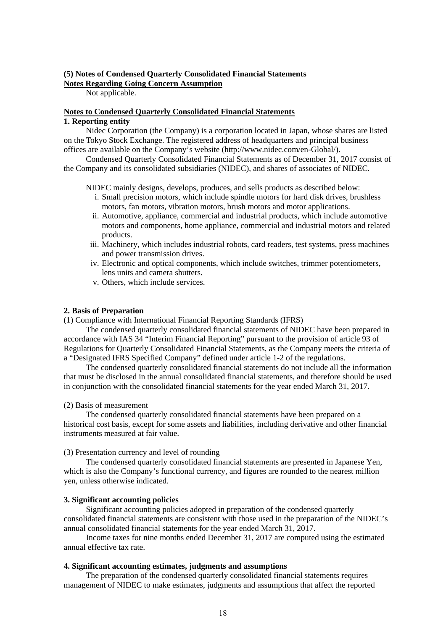### **(5) Notes of Condensed Quarterly Consolidated Financial Statements Notes Regarding Going Concern Assumption**

Not applicable.

# **Notes to Condensed Quarterly Consolidated Financial Statements 1. Reporting entity**

Nidec Corporation (the Company) is a corporation located in Japan, whose shares are listed on the Tokyo Stock Exchange. The registered address of headquarters and principal business offices are available on the Company's website (http://www.nidec.com/en-Global/).

Condensed Quarterly Consolidated Financial Statements as of December 31, 2017 consist of the Company and its consolidated subsidiaries (NIDEC), and shares of associates of NIDEC.

NIDEC mainly designs, develops, produces, and sells products as described below:

- i. Small precision motors, which include spindle motors for hard disk drives, brushless motors, fan motors, vibration motors, brush motors and motor applications.
- ii. Automotive, appliance, commercial and industrial products, which include automotive motors and components, home appliance, commercial and industrial motors and related products.
- iii. Machinery, which includes industrial robots, card readers, test systems, press machines and power transmission drives.
- iv. Electronic and optical components, which include switches, trimmer potentiometers, lens units and camera shutters.
- v. Others, which include services.

## **2. Basis of Preparation**

(1) Compliance with International Financial Reporting Standards (IFRS)

The condensed quarterly consolidated financial statements of NIDEC have been prepared in accordance with IAS 34 "Interim Financial Reporting" pursuant to the provision of article 93 of Regulations for Quarterly Consolidated Financial Statements, as the Company meets the criteria of a "Designated IFRS Specified Company" defined under article 1-2 of the regulations.

The condensed quarterly consolidated financial statements do not include all the information that must be disclosed in the annual consolidated financial statements, and therefore should be used in conjunction with the consolidated financial statements for the year ended March 31, 2017.

### (2) Basis of measurement

The condensed quarterly consolidated financial statements have been prepared on a historical cost basis, except for some assets and liabilities, including derivative and other financial instruments measured at fair value.

(3) Presentation currency and level of rounding

The condensed quarterly consolidated financial statements are presented in Japanese Yen, which is also the Company's functional currency, and figures are rounded to the nearest million yen, unless otherwise indicated.

# **3. Significant accounting policies**

Significant accounting policies adopted in preparation of the condensed quarterly consolidated financial statements are consistent with those used in the preparation of the NIDEC's annual consolidated financial statements for the year ended March 31, 2017.

Income taxes for nine months ended December 31, 2017 are computed using the estimated annual effective tax rate.

# **4. Significant accounting estimates, judgments and assumptions**

The preparation of the condensed quarterly consolidated financial statements requires management of NIDEC to make estimates, judgments and assumptions that affect the reported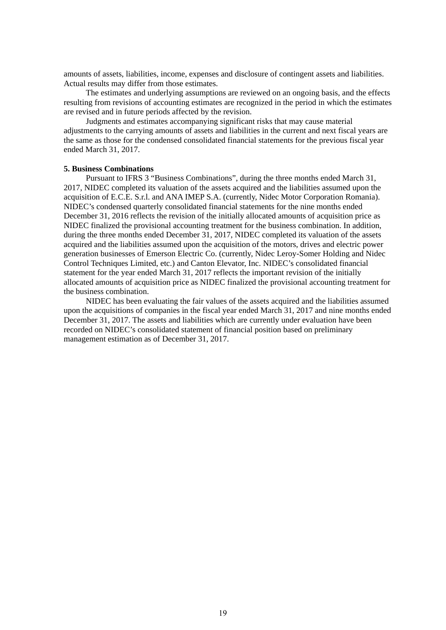amounts of assets, liabilities, income, expenses and disclosure of contingent assets and liabilities. Actual results may differ from those estimates.

The estimates and underlying assumptions are reviewed on an ongoing basis, and the effects resulting from revisions of accounting estimates are recognized in the period in which the estimates are revised and in future periods affected by the revision.

Judgments and estimates accompanying significant risks that may cause material adjustments to the carrying amounts of assets and liabilities in the current and next fiscal years are the same as those for the condensed consolidated financial statements for the previous fiscal year ended March 31, 2017.

### **5. Business Combinations**

Pursuant to IFRS 3 "Business Combinations", during the three months ended March 31, 2017, NIDEC completed its valuation of the assets acquired and the liabilities assumed upon the acquisition of E.C.E. S.r.l. and ANA IMEP S.A. (currently, Nidec Motor Corporation Romania). NIDEC's condensed quarterly consolidated financial statements for the nine months ended December 31, 2016 reflects the revision of the initially allocated amounts of acquisition price as NIDEC finalized the provisional accounting treatment for the business combination. In addition, during the three months ended December 31, 2017, NIDEC completed its valuation of the assets acquired and the liabilities assumed upon the acquisition of the motors, drives and electric power generation businesses of Emerson Electric Co. (currently, Nidec Leroy-Somer Holding and Nidec Control Techniques Limited, etc.) and Canton Elevator, Inc. NIDEC's consolidated financial statement for the year ended March 31, 2017 reflects the important revision of the initially allocated amounts of acquisition price as NIDEC finalized the provisional accounting treatment for the business combination.

NIDEC has been evaluating the fair values of the assets acquired and the liabilities assumed upon the acquisitions of companies in the fiscal year ended March 31, 2017 and nine months ended December 31, 2017. The assets and liabilities which are currently under evaluation have been recorded on NIDEC's consolidated statement of financial position based on preliminary management estimation as of December 31, 2017.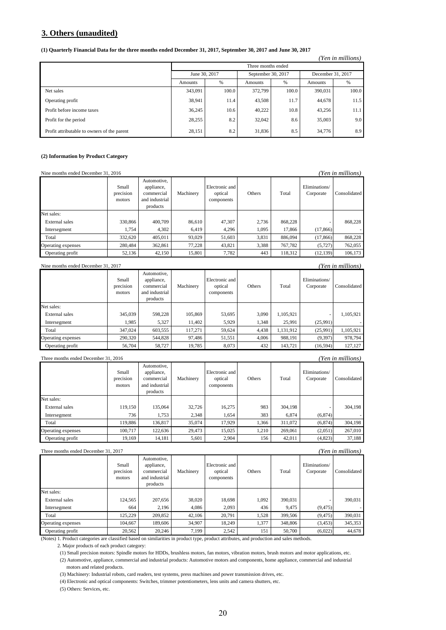# **3. Others (unaudited)**

#### **(1) Quarterly Financial Data for the three months ended December 31, 2017, September 30, 2017 and June 30, 2017**

|                                             |               |       | Three months ended |       |                   |                  |
|---------------------------------------------|---------------|-------|--------------------|-------|-------------------|------------------|
|                                             | June 30, 2017 |       | September 30, 2017 |       | December 31, 2017 |                  |
|                                             | Amounts       | %     | Amounts            | $\%$  | Amounts           | %                |
| Net sales                                   | 343,091       | 100.0 | 372,799            | 100.0 | 390.031           | 100.0            |
| Operating profit                            | 38,941        | 11.4  | 43,508             | 11.7  | 44,678            | 11.5             |
| Profit before income taxes                  | 36.245        | 10.6  | 40,222             | 10.8  | 43.256            | 11.1             |
| Profit for the period                       | 28,255        | 8.2   | 32,042             | 8.6   | 35,003            | 9.0 <sub>1</sub> |
| Profit attributable to owners of the parent | 28,151        | 8.2   | 31,836             | 8.5   | 34,776            | 8.9              |

*(Yen in millions)*

### **(2) Information by Product Category**

| (Yen in millions)<br>Nine months ended December 31, 2016 |                              |                                                                       |           |                                         |        |         |                            |              |  |  |
|----------------------------------------------------------|------------------------------|-----------------------------------------------------------------------|-----------|-----------------------------------------|--------|---------|----------------------------|--------------|--|--|
|                                                          | Small<br>precision<br>motors | Automotive.<br>appliance,<br>commercial<br>and industrial<br>products | Machinery | Electronic and<br>optical<br>components | Others | Total   | Eliminations/<br>Corporate | Consolidated |  |  |
| Net sales:                                               |                              |                                                                       |           |                                         |        |         |                            |              |  |  |
| External sales                                           | 330,866                      | 400,709                                                               | 86.610    | 47.307                                  | 2.736  | 868,228 |                            | 868,228      |  |  |
| Intersegment                                             | 1.754                        | 4,302                                                                 | 6.419     | 4.296                                   | 1.095  | 17.866  | (17, 866)                  |              |  |  |
| Total                                                    | 332,620                      | 405.011                                                               | 93,029    | 51,603                                  | 3,831  | 886,094 | (17, 866)                  | 868,228      |  |  |
| Operating expenses                                       | 280,484                      | 362,861                                                               | 77.228    | 43.821                                  | 3,388  | 767,782 | (5, 727)                   | 762,055      |  |  |
| Operating profit                                         | 52,136                       | 42,150                                                                | 15,801    | 7,782                                   | 443    | 118,312 | (12, 139)                  | 106,173      |  |  |
|                                                          |                              |                                                                       |           |                                         |        |         |                            |              |  |  |

### Nine months ended December 31, 2017 *(Yen in millions)*

|                    | Small<br>precision<br>motors | Automotive.<br>appliance,<br>commercial<br>and industrial<br>products | Machinery | Electronic and<br>optical<br>components | Others | Total     | Eliminations/<br>Corporate | Consolidated |  |  |  |
|--------------------|------------------------------|-----------------------------------------------------------------------|-----------|-----------------------------------------|--------|-----------|----------------------------|--------------|--|--|--|
| Net sales:         |                              |                                                                       |           |                                         |        |           |                            |              |  |  |  |
| External sales     | 345,039                      | 598,228                                                               | 105,869   | 53,695                                  | 3,090  | 1,105,921 |                            | 1,105,921    |  |  |  |
| Intersegment       | 1.985                        | 5.327                                                                 | 11.402    | 5.929                                   | 1,348  | 25,991    | (25,991)                   |              |  |  |  |
| Total              | 347,024                      | 603,555                                                               | 117,271   | 59,624                                  | 4,438  | 1,131,912 | (25,991)                   | 1,105,921    |  |  |  |
| Operating expenses | 290,320                      | 544.828                                                               | 97,486    | 51,551                                  | 4.006  | 988.191   | (9,397)                    | 978.794      |  |  |  |
| Operating profit   | 56,704                       | 58,727                                                                | 19,785    | 8,073                                   | 432    | 143,721   | (16, 594)                  | 127.127      |  |  |  |

| (Yen in millions)<br>Three months ended December 31, 2016 |                              |                                                                       |           |                                         |        |         |                            |              |  |  |  |
|-----------------------------------------------------------|------------------------------|-----------------------------------------------------------------------|-----------|-----------------------------------------|--------|---------|----------------------------|--------------|--|--|--|
|                                                           | Small<br>precision<br>motors | Automotive,<br>appliance,<br>commercial<br>and industrial<br>products | Machinery | Electronic and<br>optical<br>components | Others | Total   | Eliminations/<br>Corporate | Consolidated |  |  |  |
| Net sales:                                                |                              |                                                                       |           |                                         |        |         |                            |              |  |  |  |
| External sales                                            | 119,150                      | 135,064                                                               | 32,726    | 16,275                                  | 983    | 304,198 |                            | 304,198      |  |  |  |
| Intersegment                                              | 736                          | 1.753                                                                 | 2.348     | 1.654                                   | 383    | 6.874   | (6,874)                    |              |  |  |  |
| Total                                                     | 119,886                      | 136.817                                                               | 35,074    | 17.929                                  | 1.366  | 311,072 | (6,874)                    | 304,198      |  |  |  |
| Operating expenses                                        | 100.717                      | 122,636                                                               | 29.473    | 15.025                                  | 1.210  | 269,061 | (2,051)                    | 267,010      |  |  |  |
| Operating profit                                          | 19.169                       | 14.181                                                                | 5,601     | 2.904                                   | 156    | 42.011  | (4,823)                    | 37.188       |  |  |  |

### Three months ended December 31, 2017 *(Yen in millions)*

|                    | Small<br>precision<br>motors | Automotive,<br>appliance,<br>commercial<br>and industrial<br>products | Machinery | Electronic and<br>optical<br>components | Others | Total   | Eliminations/<br>Corporate | Consolidated |
|--------------------|------------------------------|-----------------------------------------------------------------------|-----------|-----------------------------------------|--------|---------|----------------------------|--------------|
| Net sales:         |                              |                                                                       |           |                                         |        |         |                            |              |
| External sales     | 124.565                      | 207.656                                                               | 38,020    | 18,698                                  | 1.092  | 390,031 |                            | 390,031      |
| Intersegment       | 664                          | 2.196                                                                 | 4.086     | 2.093                                   | 436    | 9.475   | (9, 475)                   |              |
| Total              | 125,229                      | 209,852                                                               | 42,106    | 20.791                                  | 1.528  | 399,506 | (9, 475)                   | 390,031      |
| Operating expenses | 104.667                      | 189,606                                                               | 34,907    | 18,249                                  | 1,377  | 348,806 | (3, 453)                   | 345,353      |
| Operating profit   | 20,562                       | 20.246                                                                | 7.199     | 2.542                                   | 151    | 50,700  | (6,022)                    | 44,678       |

(Notes) 1. Product categories are classified based on similarities in product type, product attributes, and production and sales methods.

2. Major products of each product category:

(1) Small precision motors: Spindle motors for HDDs, brushless motors, fan motors, vibration motors, brush motors and motor applications, etc. (2) Automotive, appliance, commercial and industrial products: Automotive motors and components, home appliance, commercial and industrial

motors and related products.

(3) Machinery: Industrial robots, card readers, test systems, press machines and power transmission drives, etc.

(4) Electronic and optical components: Switches, trimmer potentiometers, lens units and camera shutters, etc.

(5) Others: Services, etc.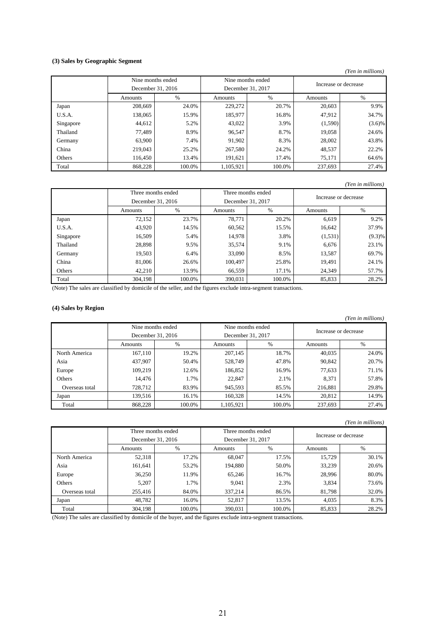### **(3) Sales by Geographic Segment**

#### *(Yen in millions)*

|           | Nine months ended |        | Nine months ended |        | Increase or decrease |           |  |
|-----------|-------------------|--------|-------------------|--------|----------------------|-----------|--|
|           | December 31, 2016 |        | December 31, 2017 |        |                      |           |  |
|           | Amounts           | %      | Amounts           | $\%$   | Amounts              | $\%$      |  |
| Japan     | 208,669           | 24.0%  | 229,272           | 20.7%  | 20,603               | 9.9%      |  |
| U.S.A.    | 138,065           | 15.9%  | 185,977           | 16.8%  | 47,912               | 34.7%     |  |
| Singapore | 44,612            | 5.2%   | 43,022            | 3.9%   | (1, 590)             | $(3.6)\%$ |  |
| Thailand  | 77.489            | 8.9%   | 96,547            | 8.7%   | 19,058               | 24.6%     |  |
| Germany   | 63,900            | 7.4%   | 91,902            | 8.3%   | 28,002               | 43.8%     |  |
| China     | 219,043           | 25.2%  | 267,580           | 24.2%  | 48,537               | 22.2%     |  |
| Others    | 116.450           | 13.4%  | 191.621           | 17.4%  | 75,171               | 64.6%     |  |
| Total     | 868,228           | 100.0% | 1,105,921         | 100.0% | 237,693              | 27.4%     |  |

### *(Yen in millions)*

|           | Three months ended |                   |                   | Three months ended | Increase or decrease |           |  |
|-----------|--------------------|-------------------|-------------------|--------------------|----------------------|-----------|--|
|           |                    | December 31, 2016 | December 31, 2017 |                    |                      |           |  |
|           | Amounts            | %                 | Amounts           | %                  | Amounts              | $\%$      |  |
| Japan     | 72,152             | 23.7%             | 78.771            | 20.2%              | 6,619                | 9.2%      |  |
| U.S.A.    | 43,920             | 14.5%             | 60,562            | 15.5%              | 16,642               | 37.9%     |  |
| Singapore | 16,509             | 5.4%              | 14,978            | 3.8%               | (1,531)              | $(9.3)\%$ |  |
| Thailand  | 28,898             | 9.5%              | 35,574            | 9.1%               | 6,676                | 23.1%     |  |
| Germany   | 19,503             | 6.4%              | 33,090            | 8.5%               | 13,587               | 69.7%     |  |
| China     | 81,006             | 26.6%             | 100.497           | 25.8%              | 19,491               | 24.1%     |  |
| Others    | 42,210             | 13.9%             | 66,559            | 17.1%              | 24,349               | 57.7%     |  |
| Total     | 304,198            | 100.0%            | 390,031           | 100.0%             | 85,833               | 28.2%     |  |

(Note) The sales are classified by domicile of the seller, and the figures exclude intra-segment transactions.

### **(4) Sales by Region**

|                |                                        |        |                                        |        |                      | (Yen in millions) |
|----------------|----------------------------------------|--------|----------------------------------------|--------|----------------------|-------------------|
|                | Nine months ended<br>December 31, 2016 |        | Nine months ended<br>December 31, 2017 |        | Increase or decrease |                   |
|                |                                        |        |                                        |        |                      |                   |
|                | Amounts                                | %      | Amounts                                | %      | Amounts              | %                 |
| North America  | 167,110                                | 19.2%  | 207,145                                | 18.7%  | 40,035               | 24.0%             |
| Asia           | 437,907                                | 50.4%  | 528,749                                | 47.8%  | 90,842               | 20.7%             |
| Europe         | 109,219                                | 12.6%  | 186,852                                | 16.9%  | 77.633               | 71.1%             |
| Others         | 14,476                                 | 1.7%   | 22,847                                 | 2.1%   | 8,371                | 57.8%             |
| Overseas total | 728,712                                | 83.9%  | 945,593                                | 85.5%  | 216,881              | 29.8%             |
| Japan          | 139.516                                | 16.1%  | 160,328                                | 14.5%  | 20.812               | 14.9%             |
| Total          | 868.228                                | 100.0% | 1,105,921                              | 100.0% | 237,693              | 27.4%             |

#### *(Yen in millions)*

|                | Three months ended<br>December 31, 2016 |        | Three months ended |               | Increase or decrease |       |
|----------------|-----------------------------------------|--------|--------------------|---------------|----------------------|-------|
|                |                                         |        | December 31, 2017  |               |                      |       |
|                | Amounts                                 | %      | Amounts            | $\frac{0}{0}$ | Amounts              | %     |
| North America  | 52,318                                  | 17.2%  | 68,047             | 17.5%         | 15.729               | 30.1% |
| Asia           | 161,641                                 | 53.2%  | 194.880            | 50.0%         | 33,239               | 20.6% |
| Europe         | 36,250                                  | 11.9%  | 65,246             | 16.7%         | 28,996               | 80.0% |
| Others         | 5.207                                   | 1.7%   | 9.041              | 2.3%          | 3,834                | 73.6% |
| Overseas total | 255,416                                 | 84.0%  | 337,214            | 86.5%         | 81,798               | 32.0% |
| Japan          | 48.782                                  | 16.0%  | 52,817             | 13.5%         | 4,035                | 8.3%  |
| Total          | 304,198                                 | 100.0% | 390,031            | 100.0%        | 85,833               | 28.2% |

(Note) The sales are classified by domicile of the buyer, and the figures exclude intra-segment transactions.